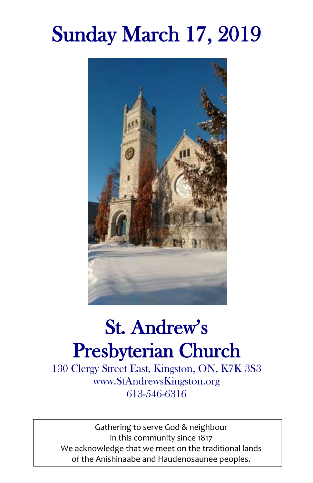# Sunday March 17, 2019



## St. Andrew's Presbyterian Church

130 Clergy Street East, Kingston, ON, K7K 3S3 www.StAndrewsKingston.org 613-546-6316

Gathering to serve God & neighbour in this community since 1817 We acknowledge that we meet on the traditional lands of the Anishinaabe and Haudenosaunee peoples.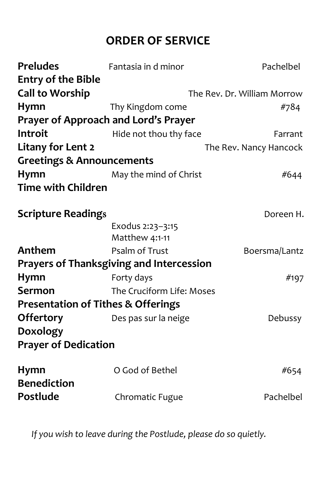## **ORDER OF SERVICE**

| Fantasia in d minor                             | Pachelbel                   |
|-------------------------------------------------|-----------------------------|
|                                                 |                             |
|                                                 | The Rev. Dr. William Morrow |
| Thy Kingdom come                                | #784                        |
| Prayer of Approach and Lord's Prayer            |                             |
| Hide not thou thy face                          | Farrant                     |
|                                                 | The Rev. Nancy Hancock      |
| <b>Greetings &amp; Announcements</b>            |                             |
| May the mind of Christ                          | #644                        |
| <b>Time with Children</b>                       |                             |
| <b>Scripture Readings</b>                       | Doreen H.                   |
| Exodus 2:23-3:15<br>Matthew 4:1-11              |                             |
| Psalm of Trust                                  | Boersma/Lantz               |
| <b>Prayers of Thanksgiving and Intercession</b> |                             |
| Forty days                                      | #197                        |
| The Cruciform Life: Moses                       |                             |
| <b>Presentation of Tithes &amp; Offerings</b>   |                             |
| Des pas sur la neige                            | Debussy                     |
|                                                 |                             |
| <b>Prayer of Dedication</b>                     |                             |
| O God of Bethel                                 | #654                        |
| Chromatic Fugue                                 | Pachelbel                   |
|                                                 |                             |

*If you wish to leave during the Postlude, please do so quietly.*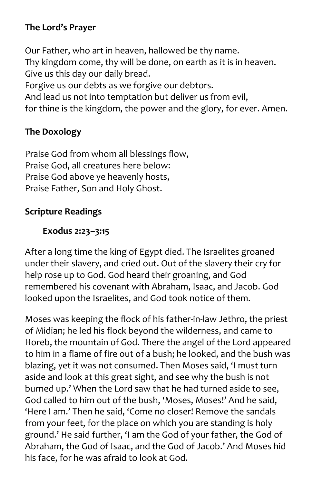#### **The Lord's Prayer**

Our Father, who art in heaven, hallowed be thy name. Thy kingdom come, thy will be done, on earth as it is in heaven. Give us this day our daily bread. Forgive us our debts as we forgive our debtors. And lead us not into temptation but deliver us from evil, for thine is the kingdom, the power and the glory, for ever. Amen.

#### **The Doxology**

Praise God from whom all blessings flow, Praise God, all creatures here below: Praise God above ye heavenly hosts, Praise Father, Son and Holy Ghost.

#### **Scripture Readings**

#### **Exodus 2:23–3:15**

After a long time the king of Egypt died. The Israelites groaned under their slavery, and cried out. Out of the slavery their cry for help rose up to God. God heard their groaning, and God remembered his covenant with Abraham, Isaac, and Jacob. God looked upon the Israelites, and God took notice of them.

Moses was keeping the flock of his father-in-law Jethro, the priest of Midian; he led his flock beyond the wilderness, and came to Horeb, the mountain of God. There the angel of the Lord appeared to him in a flame of fire out of a bush; he looked, and the bush was blazing, yet it was not consumed. Then Moses said, 'I must turn aside and look at this great sight, and see why the bush is not burned up.' When the Lord saw that he had turned aside to see, God called to him out of the bush, 'Moses, Moses!' And he said, 'Here I am.' Then he said, 'Come no closer! Remove the sandals from your feet, for the place on which you are standing is holy ground.' He said further, 'I am the God of your father, the God of Abraham, the God of Isaac, and the God of Jacob.' And Moses hid his face, for he was afraid to look at God.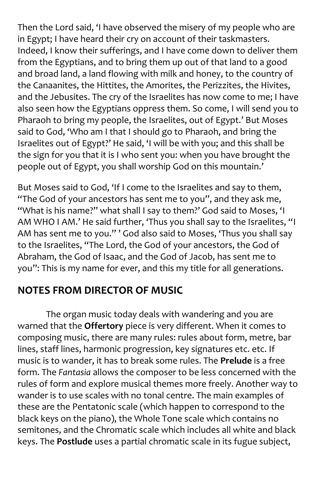Then the Lord said, 'I have observed the misery of my people who are in Egypt; I have heard their cry on account of their taskmasters. Indeed, I know their sufferings, and I have come down to deliver them from the Egyptians, and to bring them up out of that land to a good and broad land, a land flowing with milk and honey, to the country of the Canaanites, the Hittites, the Amorites, the Perizzites, the Hivites, and the Jebusites. The cry of the Israelites has now come to me; I have also seen how the Egyptians oppress them. So come, I will send you to Pharaoh to bring my people, the Israelites, out of Egypt.' But Moses said to God, 'Who am I that I should go to Pharaoh, and bring the Israelites out of Egypt?' He said, 'I will be with you; and this shall be the sign for you that it is I who sent you: when you have brought the people out of Egypt, you shall worship God on this mountain.'

But Moses said to God, 'If I come to the Israelites and say to them, "The God of your ancestors has sent me to you", and they ask me, "What is his name?" what shall I say to them?' God said to Moses, 'I AM WHO I AM.' He said further, 'Thus you shall say to the Israelites, "I AM has sent me to you." ' God also said to Moses, 'Thus you shall say to the Israelites, "The Lord, the God of your ancestors, the God of Abraham, the God of Isaac, and the God of Jacob, has sent me to you": This is my name for ever, and this my title for all generations.

## **NOTES FROM DIRECTOR OF MUSIC**

The organ music today deals with wandering and you are warned that the **Offertory** piece is very different. When it comes to composing music, there are many rules: rules about form, metre, bar lines, staff lines, harmonic progression, key signatures etc. etc. If music is to wander, it has to break some rules. The **Prelude** is a free form. The *Fantasia* allows the composer to be less concerned with the rules of form and explore musical themes more freely. Another way to wander is to use scales with no tonal centre. The main examples of these are the Pentatonic scale (which happen to correspond to the black keys on the piano), the Whole Tone scale which contains no semitones, and the Chromatic scale which includes all white and black keys. The **Postlude** uses a partial chromatic scale in its fugue subject,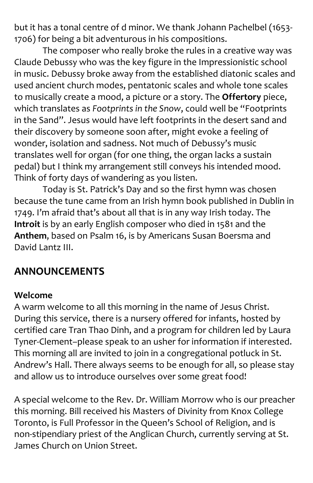but it has a tonal centre of d minor. We thank Johann Pachelbel (1653- 1706) for being a bit adventurous in his compositions.

The composer who really broke the rules in a creative way was Claude Debussy who was the key figure in the Impressionistic school in music. Debussy broke away from the established diatonic scales and used ancient church modes, pentatonic scales and whole tone scales to musically create a mood, a picture or a story. The **Offertory** piece, which translates as *Footprints in the Snow*, could well be "Footprints in the Sand". Jesus would have left footprints in the desert sand and their discovery by someone soon after, might evoke a feeling of wonder, isolation and sadness. Not much of Debussy's music translates well for organ (for one thing, the organ lacks a sustain pedal) but I think my arrangement still conveys his intended mood. Think of forty days of wandering as you listen.

Today is St. Patrick's Day and so the first hymn was chosen because the tune came from an Irish hymn book published in Dublin in 1749. I'm afraid that's about all that is in any way Irish today. The **Introit** is by an early English composer who died in 1581 and the **Anthem**, based on Psalm 16, is by Americans Susan Boersma and David Lantz III.

## **ANNOUNCEMENTS**

#### **Welcome**

A warm welcome to all this morning in the name of Jesus Christ. During this service, there is a nursery offered for infants, hosted by certified care Tran Thao Dinh, and a program for children led by Laura Tyner-Clement–please speak to an usher for information if interested. This morning all are invited to join in a congregational potluck in St. Andrew's Hall. There always seems to be enough for all, so please stay and allow us to introduce ourselves over some great food!

A special welcome to the Rev. Dr. William Morrow who is our preacher this morning. Bill received his Masters of Divinity from Knox College Toronto, is Full Professor in the Queen's School of Religion, and is non-stipendiary priest of the Anglican Church, currently serving at St. James Church on Union Street.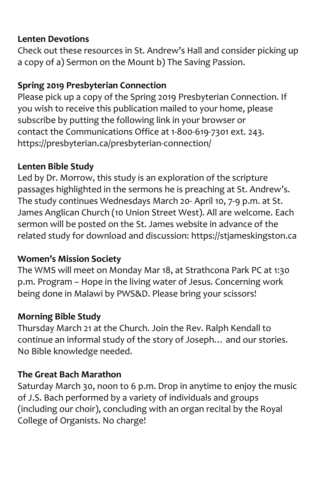#### **Lenten Devotions**

Check out these resources in St. Andrew's Hall and consider picking up a copy of a) Sermon on the Mount b) The Saving Passion.

#### **Spring 2019 Presbyterian Connection**

Please pick up a copy of the Spring 2019 Presbyterian Connection. If you wish to receive this publication mailed to your home, please subscribe by putting the following link in your browser or contact the Communications Office at 1-800-619-7301 ext. 243. <https://presbyterian.ca/presbyterian-connection/>

#### **Lenten Bible Study**

Led by Dr. Morrow, this study is an exploration of the scripture passages highlighted in the sermons he is preaching at St. Andrew's. The study continues Wednesdays March 20- April 10, 7-9 p.m. at St. James Anglican Church (10 Union Street West). All are welcome. Each sermon will be posted on the St. James website in advance of the related study for download and discussion: https://stjameskingston.ca

#### **Women's Mission Society**

The WMS will meet on Monday Mar 18, at Strathcona Park PC at 1:30 p.m. Program – Hope in the living water of Jesus. Concerning work being done in Malawi by PWS&D. Please bring your scissors!

#### **Morning Bible Study**

Thursday March 21 at the Church. Join the Rev. Ralph Kendall to continue an informal study of the story of Joseph… and our stories. No Bible knowledge needed.

#### **The Great Bach Marathon**

Saturday March 30, noon to 6 p.m. Drop in anytime to enjoy the music of J.S. Bach performed by a variety of individuals and groups (including our choir), concluding with an organ recital by the Royal College of Organists. No charge!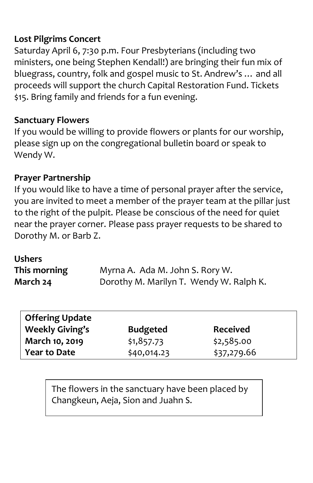#### **Lost Pilgrims Concert**

Saturday April 6, 7:30 p.m. Four Presbyterians (including two ministers, one being Stephen Kendall!) are bringing their fun mix of bluegrass, country, folk and gospel music to St. Andrew's … and all proceeds will support the church Capital Restoration Fund. Tickets \$15. Bring family and friends for a fun evening.

#### **Sanctuary Flowers**

If you would be willing to provide flowers or plants for our worship, please sign up on the congregational bulletin board or speak to Wendy W.

#### **Prayer Partnership**

If you would like to have a time of personal prayer after the service, you are invited to meet a member of the prayer team at the pillar just to the right of the pulpit. Please be conscious of the need for quiet near the prayer corner. Please pass prayer requests to be shared to Dorothy M. or Barb Z.

#### **Ushers**

| This morning | Myrna A. Ada M. John S. Rory W.         |
|--------------|-----------------------------------------|
| March 24     | Dorothy M. Marilyn T. Wendy W. Ralph K. |

| Offering Update        |                 |                 |
|------------------------|-----------------|-----------------|
| <b>Weekly Giving's</b> | <b>Budgeted</b> | <b>Received</b> |
| March 10, 2019         | \$1,857.73      | \$2,585.00      |
| Year to Date           | \$40,014.23     | \$37,279.66     |

The flowers in the sanctuary have been placed by Changkeun, Aeja, Sion and Juahn S.